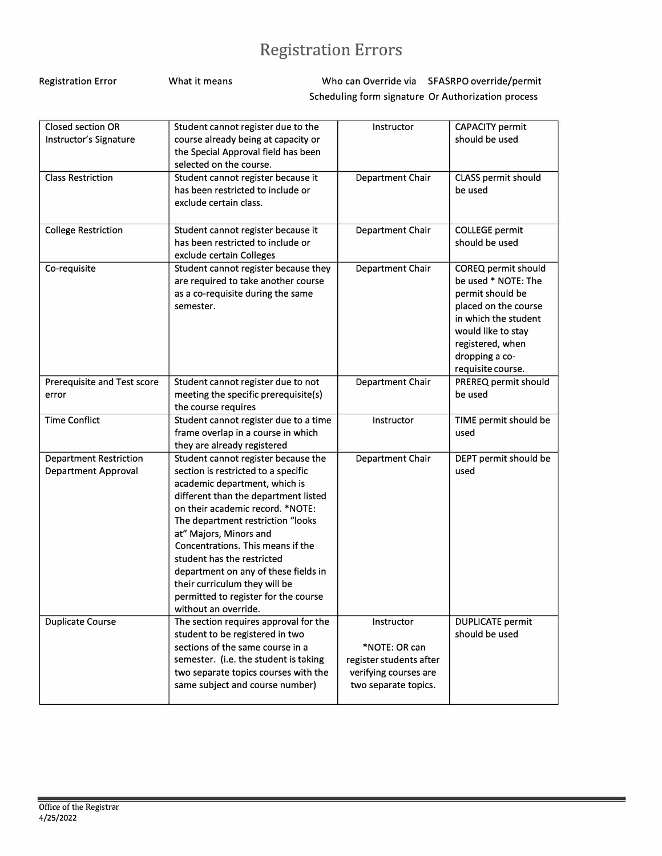## **Registration Errors**

| <b>Registration Error</b> | What it means |                                                    | Who can Override via SFASRPO override/permit |
|---------------------------|---------------|----------------------------------------------------|----------------------------------------------|
|                           |               | Scheduling form signature Or Authorization process |                                              |

| <b>Closed section OR</b><br>Instructor's Signature | Student cannot register due to the<br>course already being at capacity or | Instructor                                    | <b>CAPACITY permit</b><br>should be used     |
|----------------------------------------------------|---------------------------------------------------------------------------|-----------------------------------------------|----------------------------------------------|
|                                                    | the Special Approval field has been                                       |                                               |                                              |
|                                                    | selected on the course.                                                   |                                               |                                              |
| <b>Class Restriction</b>                           | Student cannot register because it                                        | Department Chair                              | CLASS permit should                          |
|                                                    | has been restricted to include or                                         |                                               | be used                                      |
|                                                    | exclude certain class.                                                    |                                               |                                              |
|                                                    |                                                                           |                                               |                                              |
| <b>College Restriction</b>                         | Student cannot register because it                                        | Department Chair                              | <b>COLLEGE</b> permit                        |
|                                                    | has been restricted to include or                                         |                                               | should be used                               |
|                                                    | exclude certain Colleges                                                  |                                               |                                              |
| Co-requisite                                       | Student cannot register because they                                      | Department Chair                              | COREQ permit should                          |
|                                                    | are required to take another course                                       |                                               | be used * NOTE: The                          |
|                                                    | as a co-requisite during the same                                         |                                               | permit should be                             |
|                                                    | semester.                                                                 |                                               | placed on the course<br>in which the student |
|                                                    |                                                                           |                                               | would like to stay                           |
|                                                    |                                                                           |                                               | registered, when                             |
|                                                    |                                                                           |                                               | dropping a co-                               |
|                                                    |                                                                           |                                               | requisite course.                            |
| Prerequisite and Test score                        | Student cannot register due to not                                        | Department Chair                              | PREREQ permit should                         |
| error                                              | meeting the specific prerequisite(s)                                      |                                               | be used                                      |
|                                                    | the course requires                                                       |                                               |                                              |
| <b>Time Conflict</b>                               | Student cannot register due to a time                                     | Instructor                                    | TIME permit should be                        |
|                                                    | frame overlap in a course in which                                        |                                               | used                                         |
|                                                    | they are already registered                                               |                                               |                                              |
| <b>Department Restriction</b>                      | Student cannot register because the                                       | Department Chair                              | DEPT permit should be                        |
| <b>Department Approval</b>                         | section is restricted to a specific                                       |                                               | used                                         |
|                                                    | academic department, which is<br>different than the department listed     |                                               |                                              |
|                                                    | on their academic record. *NOTE:                                          |                                               |                                              |
|                                                    | The department restriction "looks                                         |                                               |                                              |
|                                                    | at" Majors, Minors and                                                    |                                               |                                              |
|                                                    | Concentrations. This means if the                                         |                                               |                                              |
|                                                    | student has the restricted                                                |                                               |                                              |
|                                                    | department on any of these fields in                                      |                                               |                                              |
|                                                    | their curriculum they will be                                             |                                               |                                              |
|                                                    | permitted to register for the course                                      |                                               |                                              |
|                                                    | without an override.                                                      |                                               |                                              |
| Duplicate Course                                   | The section requires approval for the                                     | Instructor                                    | <b>DUPLICATE</b> permit                      |
|                                                    |                                                                           |                                               |                                              |
|                                                    | student to be registered in two                                           |                                               | should be used                               |
|                                                    | sections of the same course in a                                          | *NOTE: OR can                                 |                                              |
|                                                    | semester. (i.e. the student is taking                                     | register students after                       |                                              |
|                                                    | two separate topics courses with the<br>same subject and course number)   | verifying courses are<br>two separate topics. |                                              |